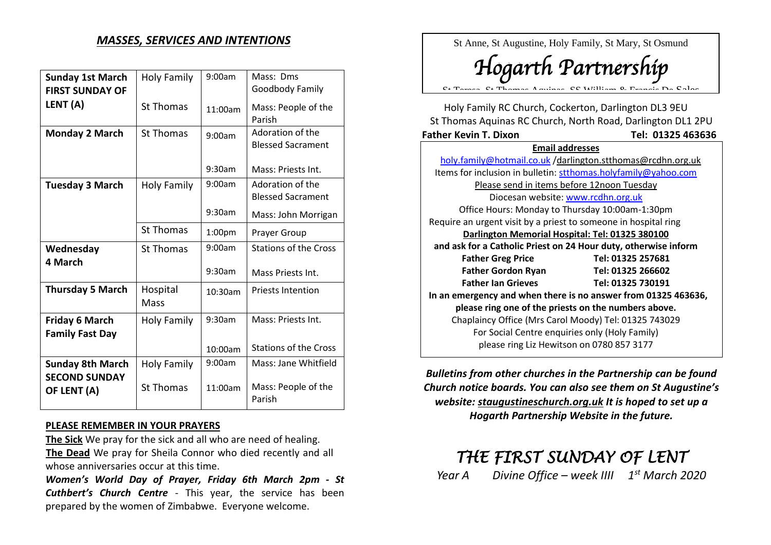## *MASSES, SERVICES AND INTENTIONS*

| <b>Sunday 1st March</b> | <b>Holy Family</b> | 9:00am             | Mass: Dms                     |
|-------------------------|--------------------|--------------------|-------------------------------|
| <b>FIRST SUNDAY OF</b>  |                    |                    | Goodbody Family               |
| LENT (A)                | <b>St Thomas</b>   | 11:00am            | Mass: People of the           |
|                         |                    |                    | Parish                        |
| <b>Monday 2 March</b>   | <b>St Thomas</b>   | 9:00am             | Adoration of the              |
|                         |                    |                    | <b>Blessed Sacrament</b>      |
|                         |                    | 9:30am             | Mass: Priests Int.            |
| <b>Tuesday 3 March</b>  | <b>Holy Family</b> | 9:00am             | Adoration of the              |
|                         |                    |                    | <b>Blessed Sacrament</b>      |
|                         |                    | 9:30am             | Mass: John Morrigan           |
|                         | <b>St Thomas</b>   | 1:00 <sub>pm</sub> | Prayer Group                  |
| Wednesday               | <b>St Thomas</b>   | 9:00am             | <b>Stations of the Cross</b>  |
| 4 March                 |                    |                    |                               |
|                         |                    | 9:30am             | Mass Priests Int.             |
| <b>Thursday 5 March</b> | Hospital           | 10:30am            | <b>Priests Intention</b>      |
|                         | Mass               |                    |                               |
| <b>Friday 6 March</b>   | Holy Family        | 9:30am             | Mass: Priests Int.            |
| <b>Family Fast Day</b>  |                    |                    |                               |
|                         |                    | 10:00am            | <b>Stations of the Cross</b>  |
| <b>Sunday 8th March</b> | <b>Holy Family</b> | 9:00am             | Mass: Jane Whitfield          |
| <b>SECOND SUNDAY</b>    |                    |                    |                               |
| OF LENT (A)             | <b>St Thomas</b>   | 11:00am            | Mass: People of the<br>Parish |

## **PLEASE REMEMBER IN YOUR PRAYERS**

**The Sick** We pray for the sick and all who are need of healing. **<sup>2</sup>The Dead** We pray for Sheila Connor who died recently and all whose anniversaries occur at this time.

*Women's World Day of Prayer, Friday 6th March 2pm - St Cuthbert's Church Centre* - This year, the service has been prepared by the women of Zimbabwe. Everyone welcome.

St Anne, St Augustine, Holy Family, St Mary, St Osmund

*Hogarth Partnership*

St Teresa, St Thomas Aquinas, SS William & Francis De Sales

Holy Family RC Church, Cockerton, Darlington DL3 9EU St Thomas Aquinas RC Church, North Road, Darlington DL1 2PU **Father Kevin T. Dixon Tel: 01325 463636 Email addresses**

| holy.family@hotmail.co.uk/darlington.stthomas@rcdhn.org.uk      |                   |  |  |  |
|-----------------------------------------------------------------|-------------------|--|--|--|
| Items for inclusion in bulletin: stthomas.holyfamily@yahoo.com  |                   |  |  |  |
| Please send in items before 12noon Tuesday                      |                   |  |  |  |
| Diocesan website: www.rcdhn.org.uk                              |                   |  |  |  |
| Office Hours: Monday to Thursday 10:00am-1:30pm                 |                   |  |  |  |
| Require an urgent visit by a priest to someone in hospital ring |                   |  |  |  |
| Darlington Memorial Hospital: Tel: 01325 380100                 |                   |  |  |  |
| and ask for a Catholic Priest on 24 Hour duty, otherwise inform |                   |  |  |  |
| <b>Father Greg Price</b>                                        | Tel: 01325 257681 |  |  |  |
| <b>Father Gordon Ryan</b>                                       | Tel: 01325 266602 |  |  |  |
| <b>Father Ian Grieves</b>                                       | Tel: 01325 730191 |  |  |  |
| In an emergency and when there is no answer from 01325 463636,  |                   |  |  |  |
| please ring one of the priests on the numbers above.            |                   |  |  |  |
| Chaplaincy Office (Mrs Carol Moody) Tel: 01325 743029           |                   |  |  |  |
| For Social Centre enquiries only (Holy Family)                  |                   |  |  |  |
| please ring Liz Hewitson on 0780 857 3177                       |                   |  |  |  |
|                                                                 |                   |  |  |  |

*Bulletins from other churches in the Partnership can be found Church notice boards. You can also see them on St Augustine's website: staugustineschurch.org.uk It is hoped to set up a Hogarth Partnership Website in the future.*

## *THE FIRST SUNDAY OF LENT*

*Year A Divine Office – week IIII 1 st March 2020*